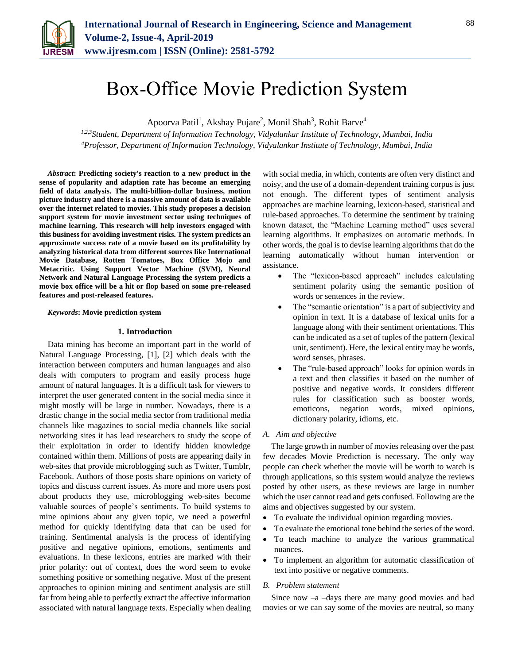

# Box-Office Movie Prediction System

Apoorva Patil<sup>1</sup>, Akshay Pujare<sup>2</sup>, Monil Shah<sup>3</sup>, Rohit Barve<sup>4</sup>

*1,2,3Student, Department of Information Technology, Vidyalankar Institute of Technology, Mumbai, India 4Professor, Department of Information Technology, Vidyalankar Institute of Technology, Mumbai, India*

*Abstract***: Predicting society's reaction to a new product in the sense of popularity and adaption rate has become an emerging field of data analysis. The multi-billion-dollar business, motion picture industry and there is a massive amount of data is available over the internet related to movies. This study proposes a decision support system for movie investment sector using techniques of machine learning. This research will help investors engaged with this business for avoiding investment risks. The system predicts an approximate success rate of a movie based on its profitability by analyzing historical data from different sources like International Movie Database, Rotten Tomatoes, Box Office Mojo and Metacritic. Using Support Vector Machine (SVM), Neural Network and Natural Language Processing the system predicts a movie box office will be a hit or flop based on some pre-released features and post-released features.**

### *Keywords***: Movie prediction system**

### **1. Introduction**

Data mining has become an important part in the world of Natural Language Processing, [1], [2] which deals with the interaction between computers and human languages and also deals with computers to program and easily process huge amount of natural languages. It is a difficult task for viewers to interpret the user generated content in the social media since it might mostly will be large in number. Nowadays, there is a drastic change in the social media sector from traditional media channels like magazines to social media channels like social networking sites it has lead researchers to study the scope of their exploitation in order to identify hidden knowledge contained within them. Millions of posts are appearing daily in web-sites that provide microblogging such as Twitter, Tumblr, Facebook. Authors of those posts share opinions on variety of topics and discuss current issues. As more and more users post about products they use, microblogging web-sites become valuable sources of people's sentiments. To build systems to mine opinions about any given topic, we need a powerful method for quickly identifying data that can be used for training. Sentimental analysis is the process of identifying positive and negative opinions, emotions, sentiments and evaluations. In these lexicons, entries are marked with their prior polarity: out of context, does the word seem to evoke something positive or something negative. Most of the present approaches to opinion mining and sentiment analysis are still far from being able to perfectly extract the affective information associated with natural language texts. Especially when dealing with social media, in which, contents are often very distinct and noisy, and the use of a domain-dependent training corpus is just not enough. The different types of sentiment analysis approaches are machine learning, lexicon-based, statistical and rule-based approaches. To determine the sentiment by training known dataset, the "Machine Learning method" uses several learning algorithms. It emphasizes on automatic methods. In other words, the goal is to devise learning algorithms that do the learning automatically without human intervention or assistance.

- The "lexicon-based approach" includes calculating sentiment polarity using the semantic position of words or sentences in the review.
- The "semantic orientation" is a part of subjectivity and opinion in text. It is a database of lexical units for a language along with their sentiment orientations. This can be indicated as a set of tuples of the pattern (lexical unit, sentiment). Here, the lexical entity may be words, word senses, phrases.
- The "rule-based approach" looks for opinion words in a text and then classifies it based on the number of positive and negative words. It considers different rules for classification such as booster words, emoticons, negation words, mixed opinions, dictionary polarity, idioms, etc.

### *A. Aim and objective*

The large growth in number of movies releasing over the past few decades Movie Prediction is necessary. The only way people can check whether the movie will be worth to watch is through applications, so this system would analyze the reviews posted by other users, as these reviews are large in number which the user cannot read and gets confused. Following are the aims and objectives suggested by our system.

- To evaluate the individual opinion regarding movies.
- To evaluate the emotional tone behind the series of the word.
- To teach machine to analyze the various grammatical nuances.
- To implement an algorithm for automatic classification of text into positive or negative comments.

### *B. Problem statement*

Since now  $-a$  –days there are many good movies and bad movies or we can say some of the movies are neutral, so many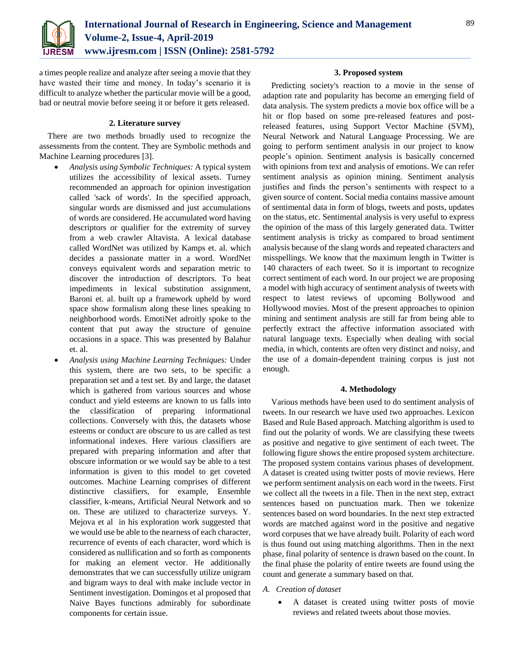

a times people realize and analyze after seeing a movie that they have wasted their time and money. In today's scenario it is difficult to analyze whether the particular movie will be a good, bad or neutral movie before seeing it or before it gets released.

### **2. Literature survey**

There are two methods broadly used to recognize the assessments from the content. They are Symbolic methods and Machine Learning procedures [3].

- *Analysis using Symbolic Techniques:* A typical system utilizes the accessibility of lexical assets. Turney recommended an approach for opinion investigation called 'sack of words'. In the specified approach, singular words are dismissed and just accumulations of words are considered. He accumulated word having descriptors or qualifier for the extremity of survey from a web crawler Altavista. A lexical database called WordNet was utilized by Kamps et. al. which decides a passionate matter in a word. WordNet conveys equivalent words and separation metric to discover the introduction of descriptors. To beat impediments in lexical substitution assignment, Baroni et. al. built up a framework upheld by word space show formalism along these lines speaking to neighborhood words. EmotiNet adroitly spoke to the content that put away the structure of genuine occasions in a space. This was presented by Balahur et. al.
- *Analysis using Machine Learning Techniques:* Under this system, there are two sets, to be specific a preparation set and a test set. By and large, the dataset which is gathered from various sources and whose conduct and yield esteems are known to us falls into the classification of preparing informational collections. Conversely with this, the datasets whose esteems or conduct are obscure to us are called as test informational indexes. Here various classifiers are prepared with preparing information and after that obscure information or we would say be able to a test information is given to this model to get coveted outcomes. Machine Learning comprises of different distinctive classifiers, for example, Ensemble classifier, k-means, Artificial Neural Network and so on. These are utilized to characterize surveys. Y. Mejova et al in his exploration work suggested that we would use be able to the nearness of each character, recurrence of events of each character, word which is considered as nullification and so forth as components for making an element vector. He additionally demonstrates that we can successfully utilize unigram and bigram ways to deal with make include vector in Sentiment investigation. Domingos et al proposed that Naive Bayes functions admirably for subordinate components for certain issue.

### **3. Proposed system**

Predicting society's reaction to a movie in the sense of adaption rate and popularity has become an emerging field of data analysis. The system predicts a movie box office will be a hit or flop based on some pre-released features and postreleased features, using Support Vector Machine (SVM), Neural Network and Natural Language Processing. We are going to perform sentiment analysis in our project to know people's opinion. Sentiment analysis is basically concerned with opinions from text and analysis of emotions. We can refer sentiment analysis as opinion mining. Sentiment analysis justifies and finds the person's sentiments with respect to a given source of content. Social media contains massive amount of sentimental data in form of blogs, tweets and posts, updates on the status, etc. Sentimental analysis is very useful to express the opinion of the mass of this largely generated data. Twitter sentiment analysis is tricky as compared to broad sentiment analysis because of the slang words and repeated characters and misspellings. We know that the maximum length in Twitter is 140 characters of each tweet. So it is important to recognize correct sentiment of each word. In our project we are proposing a model with high accuracy of sentiment analysis of tweets with respect to latest reviews of upcoming Bollywood and Hollywood movies. Most of the present approaches to opinion mining and sentiment analysis are still far from being able to perfectly extract the affective information associated with natural language texts. Especially when dealing with social media, in which, contents are often very distinct and noisy, and the use of a domain-dependent training corpus is just not enough.

### **4. Methodology**

Various methods have been used to do sentiment analysis of tweets. In our research we have used two approaches. Lexicon Based and Rule Based approach. Matching algorithm is used to find out the polarity of words. We are classifying these tweets as positive and negative to give sentiment of each tweet. The following figure shows the entire proposed system architecture. The proposed system contains various phases of development. A dataset is created using twitter posts of movie reviews. Here we perform sentiment analysis on each word in the tweets. First we collect all the tweets in a file. Then in the next step, extract sentences based on punctuation mark. Then we tokenize sentences based on word boundaries. In the next step extracted words are matched against word in the positive and negative word corpuses that we have already built. Polarity of each word is thus found out using matching algorithms. Then in the next phase, final polarity of sentence is drawn based on the count. In the final phase the polarity of entire tweets are found using the count and generate a summary based on that.

- *A. Creation of dataset*
	- A dataset is created using twitter posts of movie reviews and related tweets about those movies.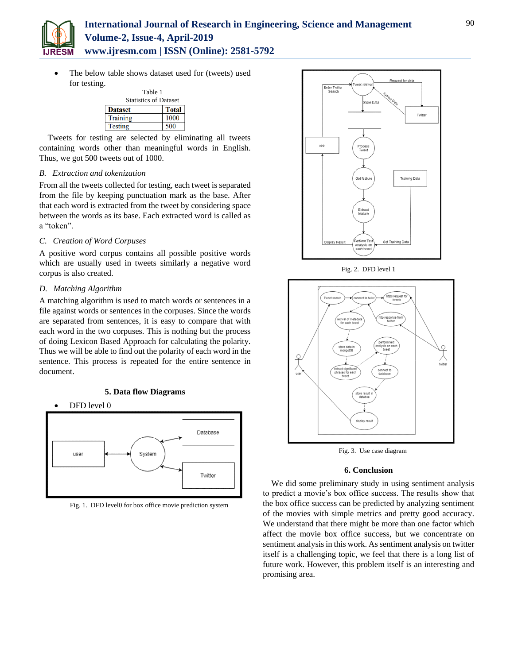

# **International Journal of Research in Engineering, Science and Management Volume-2, Issue-4, April-2019 www.ijresm.com | ISSN (Online): 2581-5792**

 The below table shows dataset used for (tweets) used for testing.

| Table 1                      |              |
|------------------------------|--------------|
| <b>Statistics of Dataset</b> |              |
| <b>Dataset</b>               | <b>Total</b> |
| <b>Training</b>              | 1000         |
| <b>Testing</b>               |              |

Tweets for testing are selected by eliminating all tweets containing words other than meaningful words in English. Thus, we got 500 tweets out of 1000.

# *B. Extraction and tokenization*

From all the tweets collected for testing, each tweet is separated from the file by keeping punctuation mark as the base. After that each word is extracted from the tweet by considering space between the words as its base. Each extracted word is called as a "token".

### *C. Creation of Word Corpuses*

A positive word corpus contains all possible positive words which are usually used in tweets similarly a negative word corpus is also created.

# *D. Matching Algorithm*

A matching algorithm is used to match words or sentences in a file against words or sentences in the corpuses. Since the words are separated from sentences, it is easy to compare that with each word in the two corpuses. This is nothing but the process of doing Lexicon Based Approach for calculating the polarity. Thus we will be able to find out the polarity of each word in the sentence. This process is repeated for the entire sentence in document.

# **5. Data flow Diagrams**





Fig. 1. DFD level0 for box office movie prediction system



Fig. 2. DFD level 1



Fig. 3. Use case diagram

### **6. Conclusion**

We did some preliminary study in using sentiment analysis to predict a movie's box office success. The results show that the box office success can be predicted by analyzing sentiment of the movies with simple metrics and pretty good accuracy. We understand that there might be more than one factor which affect the movie box office success, but we concentrate on sentiment analysis in this work. As sentiment analysis on twitter itself is a challenging topic, we feel that there is a long list of future work. However, this problem itself is an interesting and promising area.